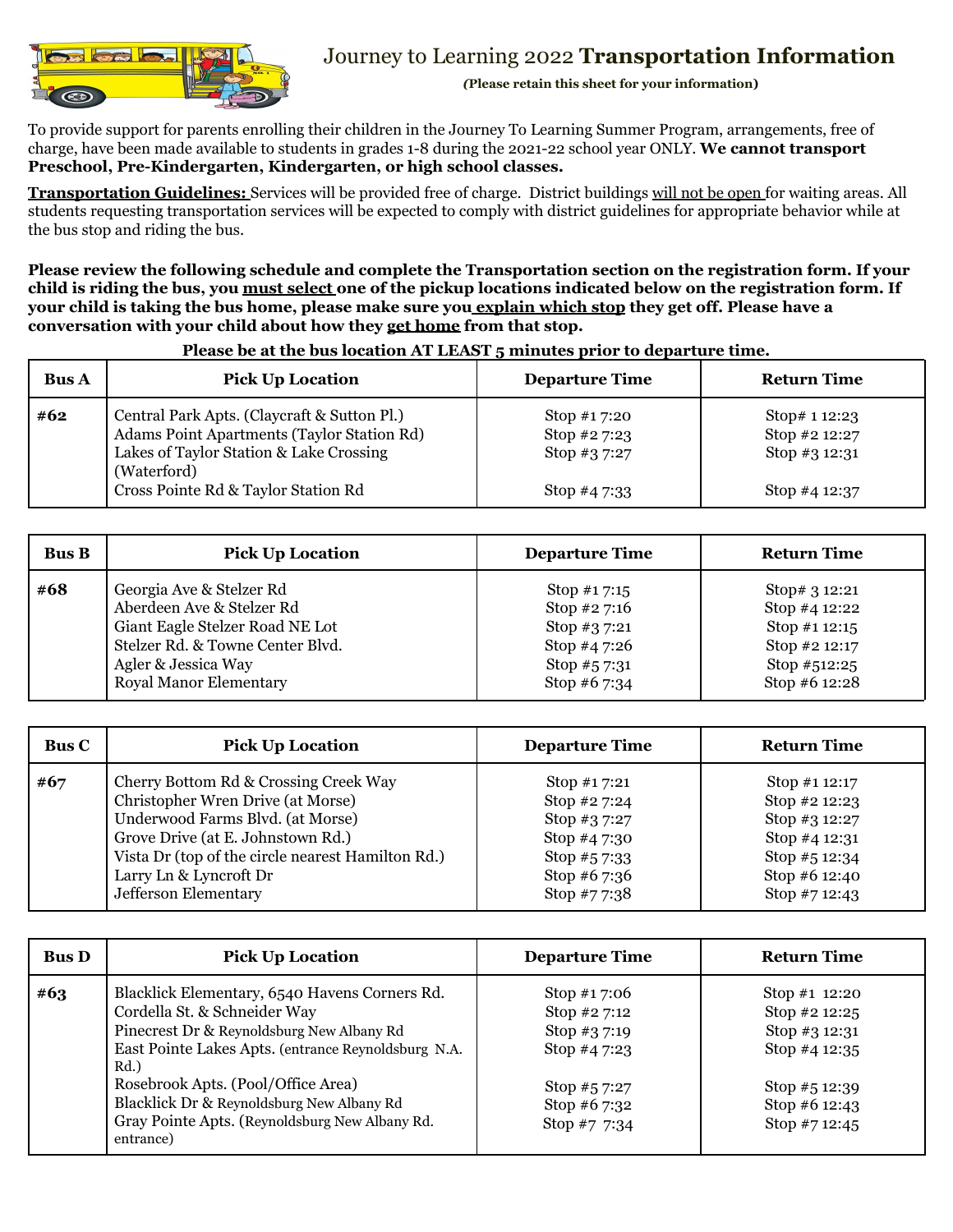

## Journey to Learning 2022 **Transportation Information**

*(***Please retain this sheet for your information)**

To provide support for parents enrolling their children in the Journey To Learning Summer Program, arrangements, free of charge, have been made available to students in grades 1-8 during the 2021-22 school year ONLY. **We cannot transport Preschool, Pre-Kindergarten, Kindergarten, or high school classes.**

**Transportation Guidelines:** Services will be provided free of charge. District buildings will not be open for waiting areas. All students requesting transportation services will be expected to comply with district guidelines for appropriate behavior while at the bus stop and riding the bus.

**Please review the following schedule and complete the Transportation section on the registration form. If your** child is riding the bus, you must select one of the pickup locations indicated below on the registration form. If your child is taking the bus home, please make sure you explain which stop they get off. Please have a **conversation with your child about how they get home from that stop.**

| <b>Bus A</b> | <b>Pick Up Location</b>                                                                                                                                                                    | <b>Departure Time</b>                                      | <b>Return Time</b>                                                 |
|--------------|--------------------------------------------------------------------------------------------------------------------------------------------------------------------------------------------|------------------------------------------------------------|--------------------------------------------------------------------|
| #62          | Central Park Apts. (Claycraft & Sutton Pl.)<br>Adams Point Apartments (Taylor Station Rd)<br>Lakes of Taylor Station & Lake Crossing<br>(Waterford)<br>Cross Pointe Rd & Taylor Station Rd | Stop #17:20<br>Stop #27:23<br>Stop #3 7:27<br>Stop #4 7:33 | Stop# 1 12:23<br>Stop #2 12:27<br>Stop #3 12:31<br>Stop #4 $12:37$ |

## **Please be at the bus location AT LEAST 5 minutes prior to departure time.**

| <b>Bus B</b> | <b>Pick Up Location</b>          | <b>Departure Time</b> | <b>Return Time</b> |
|--------------|----------------------------------|-----------------------|--------------------|
| #68          | Georgia Ave & Stelzer Rd         | Stop $\#17:15$        | Stop# 3 12:21      |
|              | Aberdeen Ave & Stelzer Rd        | Stop $#2$ 7:16        | Stop #4 12:22      |
|              | Giant Eagle Stelzer Road NE Lot  | Stop $#37:21$         | Stop #1 12:15      |
|              | Stelzer Rd. & Towne Center Blvd. | Stop $#47:26$         | Stop #2 12:17      |
|              | Agler & Jessica Way              | Stop $#57:31$         | Stop #512:25       |
|              | <b>Royal Manor Elementary</b>    | Stop #6 7:34          | Stop #6 12:28      |

| <b>Bus C</b> | <b>Pick Up Location</b>                           | <b>Departure Time</b> | <b>Return Time</b> |
|--------------|---------------------------------------------------|-----------------------|--------------------|
| #67          | Cherry Bottom Rd & Crossing Creek Way             | Stop $#17:21$         | Stop #1 $12:17$    |
|              | Christopher Wren Drive (at Morse)                 | Stop #2 7:24          | Stop #2 12:23      |
|              | Underwood Farms Blvd. (at Morse)                  | Stop #3 7:27          | Stop #3 12:27      |
|              | Grove Drive (at E. Johnstown Rd.)                 | Stop #4 7:30          | Stop #4 12:31      |
|              | Vista Dr (top of the circle nearest Hamilton Rd.) | Stop $#57:33$         | Stop #5 12:34      |
|              | Larry Ln & Lyncroft Dr                            | Stop $#6$ 7:36        | Stop #6 12:40      |
|              | Jefferson Elementary                              | Stop #77:38           | Stop #7 12:43      |

| <b>Bus D</b> | <b>Pick Up Location</b>                                                                                                                                                                                                                                                                                                                    | <b>Departure Time</b>                                                                                           | <b>Return Time</b>                                                                                                   |
|--------------|--------------------------------------------------------------------------------------------------------------------------------------------------------------------------------------------------------------------------------------------------------------------------------------------------------------------------------------------|-----------------------------------------------------------------------------------------------------------------|----------------------------------------------------------------------------------------------------------------------|
| #63          | Blacklick Elementary, 6540 Havens Corners Rd.<br>Cordella St. & Schneider Way<br>Pinecrest Dr & Reynoldsburg New Albany Rd<br>East Pointe Lakes Apts. (entrance Reynoldsburg N.A.<br>Rd.<br>Rosebrook Apts. (Pool/Office Area)<br>Blacklick Dr & Reynoldsburg New Albany Rd<br>Gray Pointe Apts. (Reynoldsburg New Albany Rd.<br>entrance) | Stop $#17:06$<br>Stop #2 7:12<br>Stop $#37:19$<br>Stop #4 7:23<br>Stop #57:27<br>Stop #6 $7:32$<br>Stop #7 7:34 | Stop #1 12:20<br>Stop #2 12:25<br>Stop #3 12:31<br>Stop #4 12:35<br>Stop $#512:39$<br>Stop #6 12:43<br>Stop #7 12:45 |